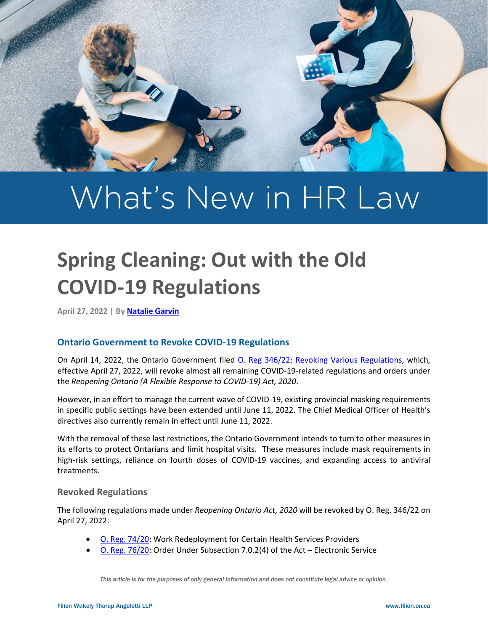

# What's New in HR Law

# **Spring Cleaning: Out with the Old COVID-19 Regulations**

**April 27, 2022 | By [Natalie Garvin](https://filion.on.ca/lawyers/natalie-garvin/)**

# **Ontario Government to Revoke COVID-19 Regulations**

On April 14, 2022, the Ontario Government filed [O. Reg 346/22: Revoking Various Regulations,](https://www.ontario.ca/laws/regulation/r22346) which, effective April 27, 2022, will revoke almost all remaining COVID-19-related regulations and orders under the *Reopening Ontario (A Flexible Response to COVID-19) Act, 2020*.

However, in an effort to manage the current wave of COVID-19, existing provincial masking requirements in specific public settings have been extended until June 11, 2022. The Chief Medical Officer of Health's directives also currently remain in effect until June 11, 2022.

With the removal of these last restrictions, the Ontario Government intends to turn to other measures in its efforts to protect Ontarians and limit hospital visits. These measures include mask requirements in high-risk settings, reliance on fourth doses of COVID-19 vaccines, and expanding access to antiviral treatments.

# **Revoked Regulations**

The following regulations made under *Reopening Ontario Act, 2020* will be revoked by O. Reg. 346/22 on April 27, 2022:

- [O. Reg. 74/20:](https://www.ontario.ca/laws/regulation/200074) Work Redeployment for Certain Health Services Providers
- [O. Reg. 76/20:](https://www.ontario.ca/laws/regulation/r20076) Order Under Subsection 7.0.2(4) of the Act Electronic Service

*This article is for the purposes of only general information and does not constitute legal advice or opinion.*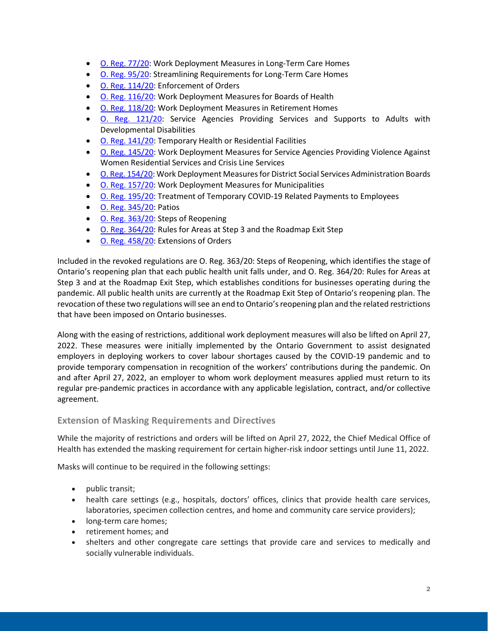- [O. Reg. 77/20:](https://www.ontario.ca/laws/regulation/200077) Work Deployment Measures in Long-Term Care Homes
- [O. Reg. 95/20:](https://www.ontario.ca/laws/regulation/r20095) Streamlining Requirements for Long-Term Care Homes
- [O. Reg. 114/20:](https://www.ontario.ca/laws/regulation/200114) Enforcement of Orders
- [O. Reg. 116/20:](https://www.ontario.ca/laws/regulation/r20116) Work Deployment Measures for Boards of Health
- [O. Reg. 118/20:](https://www.ontario.ca/laws/regulation/r20118) Work Deployment Measures in Retirement Homes
- [O. Reg. 121/20:](https://www.ontario.ca/laws/regulation/r20121) Service Agencies Providing Services and Supports to Adults with Developmental Disabilities
- [O. Reg. 141/20:](https://www.ontario.ca/laws/regulation/200141) Temporary Health or Residential Facilities
- [O. Reg. 145/20:](https://www.ontario.ca/laws/regulation/r20145) Work Deployment Measures for Service Agencies Providing Violence Against Women Residential Services and Crisis Line Services
- [O. Reg. 154/20:](https://www.ontario.ca/laws/regulation/r20154) Work Deployment Measures for District Social Services Administration Boards
- [O. Reg. 157/20:](https://www.ontario.ca/laws/regulation/200157) Work Deployment Measures for Municipalities
- [O. Reg. 195/20:](https://www.ontario.ca/laws/regulation/200195) Treatment of Temporary COVID-19 Related Payments to Employees
- [O. Reg. 345/20:](https://www.ontario.ca/laws/regulation/r20345) Patios
- [O. Reg. 363/20:](https://www.ontario.ca/laws/regulation/200363) Steps of Reopening
- [O. Reg. 364/20:](https://www.ontario.ca/laws/regulation/200364) Rules for Areas at Step 3 and the Roadmap Exit Step
- [O. Reg. 458/20:](https://www.ontario.ca/laws/regulation/200458) Extensions of Orders

Included in the revoked regulations are O. Reg. 363/20: Steps of Reopening, which identifies the stage of Ontario's reopening plan that each public health unit falls under, and O. Reg. 364/20: Rules for Areas at Step 3 and at the Roadmap Exit Step, which establishes conditions for businesses operating during the pandemic. All public health units are currently at the Roadmap Exit Step of Ontario's reopening plan. The revocation of these two regulations will see an end to Ontario's reopening plan and the related restrictions that have been imposed on Ontario businesses.

Along with the easing of restrictions, additional work deployment measures will also be lifted on April 27, 2022. These measures were initially implemented by the Ontario Government to assist designated employers in deploying workers to cover labour shortages caused by the COVID-19 pandemic and to provide temporary compensation in recognition of the workers' contributions during the pandemic. On and after April 27, 2022, an employer to whom work deployment measures applied must return to its regular pre-pandemic practices in accordance with any applicable legislation, contract, and/or collective agreement.

#### **Extension of Masking Requirements and Directives**

While the majority of restrictions and orders will be lifted on April 27, 2022, the Chief Medical Office of Health has extended the masking requirement for certain higher-risk indoor settings until June 11, 2022.

Masks will continue to be required in the following settings:

- public transit;
- health care settings (e.g., hospitals, doctors' offices, clinics that provide health care services, laboratories, specimen collection centres, and home and community care service providers);
- long-term care homes;
- retirement homes; and
- shelters and other congregate care settings that provide care and services to medically and socially vulnerable individuals.